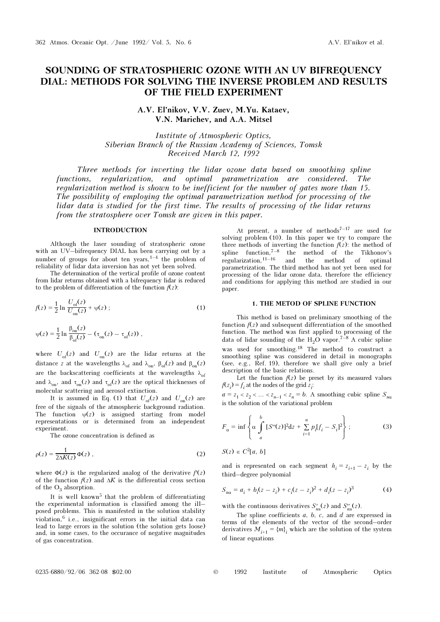# SOUNDING OF STRATOSPHERIC OZONE WITH AN UV BIFREQUENCY DIAL: METHODS FOR SOLVING THE INVERSE PROBLEM AND RESULTS OF THE FIELD EXPERIMENT

## A.V. El'nikov, V.V. Zuev, M.Yu. Kataev, V.N. Marichev, and A.A. Mitsel

Institute of Atmospheric Optics, Siberian Branch of the Russian Academy of Sciences, Tomsk Received March 12, 1992

Three methods for inverting the lidar ozone data based on smoothing spline functions, regularization, and optimal parametrization are considered. The regularization method is shown to be inefficient for the number of gates more than 15. The possibility of employing the optimal parametrization method for processing of the lidar data is studied for the first time. The results of processing of the lidar returns from the stratosphere over Tomsk are given in this paper.

#### INTRODUCTION

Although the laser sounding of stratospheric ozone with an UV–bifrequency DIAL has been carrying out by a number of groups for about ten years,  $1-4$  the problem of reliability of lidar data inversion has not yet been solved.

The determination of the vertical profile of ozone content from lidar returns obtained with a bifrequency lidar is reduced to the problem of differentiation of the function  $f(z)$ :

$$
f(z) = \frac{1}{2} \ln \frac{U_{\text{of}}(z)}{U_{\text{on}}(z)} + \psi(z) ; \qquad (1)
$$

$$
\psi(z) = \frac{1}{2} \ln \frac{\beta_{\text{on}}(z)}{\beta_{\text{of}}(z)} - (\tau_{\text{on}}(z) - \tau_{\text{of}}(z)) ,
$$

where  $U_{\text{of}}(z)$  and  $U_{\text{on}}(z)$  are the lidar returns at the distance z at the wavelengths  $\lambda_{\text{of}}$  and  $\lambda_{\text{on}}$ ,  $\beta_{\text{of}}(z)$  and  $\beta_{\text{on}}(z)$ are the backscattering coefficients at the wavelengths  $\lambda_{\text{of}}$ and  $\lambda_{\text{on}}$ , and  $\tau_{\text{on}}(z)$  and  $\tau_{\text{of}}(z)$  are the optical thicknesses of molecular scattering and aerosol extinction.

It is assumed in Eq. (1) that  $U_{\text{of}}(z)$  and  $U_{\text{on}}(z)$  are<br>of the signals of the structure healts under rediction free of the signals of the atmospheric background radiation. The function  $\psi(z)$  is assigned starting from model representations or is determined from an independent experiment.

The ozone concentration is defined as

$$
\rho(z) = \frac{1}{2\Delta K(z)} \Phi(z) , \qquad (2)
$$

where  $\Phi(z)$  is the regularized analog of the derivative  $f'(z)$ of the function  $f(z)$  and  $\Delta K$  is the differential cross section of the  $O_3$  absorption.

It is well known<sup>5</sup> that the problem of differentiating the experimental information is classified among the ill– posed problems. This is manifested in the solution stability violation, $6$  i.e., insignificant errors in the initial data can lead to large errors in the solution (the solution gets loose) and, in some cases, to the occurance of negative magnitudes of gas concentration.

At present, a number of methods<sup> $7-17$ </sup> are used for solving problem (10). In this paper we try to compare the three methods of inverting the function  $f(z)$ : the method of spline function,  $\lambda^{-8}$  the method of the Tikhonov's regularization,11–16 and the method of optimal parametrization. The third method has not yet been used for processing of the lidar ozone data, therefore the efficiency and conditions for applying this method are studied in our paper.

#### 1. THE METOD OF SPLINE FUNCTION

This method is based on preliminary smoothing of the function  $f(z)$  and subsequent differentiation of the smoothed function. The method was first applied to processing of the data of lidar sounding of the H<sub>2</sub>O vapor.<sup>7–8</sup> A cubic spline was used for smoothing.18 The method to construct a smoothing spline was considered in detail in monographs (see, e.g., Ref. 19), therefore we shall give only a brief description of the basic relations.

Let the function  $f(z)$  be preset by its measured values  $f(z_i) = f_i$  at the nodes of the grid  $z_i$ :

 $a = z_1 < z_2 < ... < z_{n-1} < z_n = b$ . A smoothing cubic spline  $S_{n_0}$ is the solution of the variational problem

$$
F_{\alpha} = \inf \left\{ \alpha \int_{a}^{b} [S''(z)]^2 dz + \sum_{i=1}^{n} p_i [f_i - S_i]^2 \right\};
$$
 (3)

$$
S(z) \in C^2[a, b]
$$

and is represented on each segment  $h_i = z_{i+1} - z_i$  by the third degree polynomial third–degree polynomial

$$
S_{n\alpha} = a_i + b_i(z - z_i) + c_i(z - z_i)^2 + d_i(z - z_i)^3
$$
 (4)

with the continuous derivatives  $S'_{na}(z)$  and  $S''_{na}(z)$ .<br>The caling esettinisate  $z$ , h a set d d are sm

The spline coefficients  $a, b, c,$  and  $d$  are expressed in terms of the elements of the vector of the second–order derivatives  $M_{i+1} = \{m\}_i$  which are the solution of the system of linear agreements. of linear equations

| Optics |
|--------|
|        |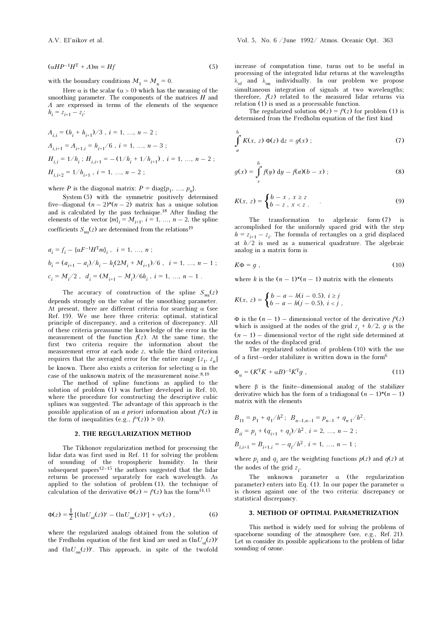$$
(\alpha HP^{-1}H^{\mathrm{T}} + A)m = Hf \tag{5}
$$

with the boundary conditions  $M_1 = M_n = 0$ .

Here  $\alpha$  is the scalar ( $\alpha > 0$ ) which has the meaning of the smoothing parameter. The components of the matrices  $H$  and A are expressed in terms of the elements of the sequence  $h_i = z_{i+1} - z_i$ :

$$
A_{i,i} = (h_i + h_{i+1})/3, i = 1, ..., n - 2;
$$
  
\n
$$
A_{i,i+1} = A_{i+1,i} = h_{i+1}/6, i = 1, ..., n - 3;
$$
  
\n
$$
H_{i,i} = 1/h_i; H_{i,i+1} = -(1/h_i + 1/h_{i+1}), i = 1, ..., n - 2;
$$
  
\n
$$
H_{i,i+2} = 1/h_{i+1}, i = 1, ..., n - 2;
$$

where P is the diagonal matrix:  $P = \text{diag}\{p_1, ..., p_n\}$ .<br>System (5), with the symmetric positively deter-

System (5) with the symmetric positively determined five–diagonal  $(n-2)*(n-2)$  matrix has a unique solution and is calculated by the pass technique.18 After finding the elements of the vector  ${m \choose i} = M_{i+1}$ ,  $i = 1, ..., n-2$ , the spline coefficients  $S_{n\alpha}(z)$  are determined from the relations<sup>19</sup>

$$
a_i = f_i - \{\alpha F^{-1}H^{\mathrm{T}}m\}_i, \quad i = 1, ..., n ;
$$
  
\n
$$
b_i = (a_{i+1} - a_i) / h_i - h_i (2M_i + M_{i+1}) / 6, \quad i = 1, ..., n - 1 ;
$$
  
\n
$$
c_i = M_i / 2, \quad d_i = (M_{i+1} - M_i) / 6h_i, \quad i = 1, ..., n - 1 .
$$

The accuracy of construction of the spline  $S_{n\alpha}(z)$ depends strongly on the value of the smoothing parameter. At present, there are different criteria for searching  $\alpha$  (see Ref. 19). We use here three criteria: optimal, statistical principle of discrepancy, and a criterion of discrepancy. All of these criteria preassume the knowledge of the error in the measurement of the function  $f(z)$ . At the same time, the first two criteria require the information about the measurement error at each node z, while the third criterion requires that the averaged error for the entire range  $[z_1, z_n]$ be known. There also exists a criterion for selecting  $\alpha$  in the case of the unknown matrix of the measurement noise.<sup>8,19</sup>

The method of spline functions as applied to the solution of problem (1) was further developed in Ref. 10, where the procedure for constructing the descriptive cubic splines was suggested. The advantage of this approach is the possible application of an *a priori* information about  $f'(z)$  in the form of inequalities (e.g.,  $f'(z)$ ) > 0).

#### 2. THE REGULARIZATION METHOD

The Tikhonov regularization method for processing the lidar data was first used in Ref. 11 for solving the problem of sounding of the tropospheric humidity. In their subsequent papers $12-15$  the authors suggested that the lidar returns be processed separately for each wavelength. As applied to the solution of problem (1), the technique of calculation of the derivative  $\Phi(z) = f'(z)$  has the form<sup>14,15</sup>

$$
\Phi(z) = \frac{1}{2} \left[ (\ln U_{\text{of}}(z))' - (\ln U_{\text{on}}(z))' \right] + \psi'(z) , \qquad (6)
$$

where the regularized analogs obtained from the solution of the Fredholm equation of the first kind are used as  $(\ln U_{\text{of}}(z))'$ and  $(\ln U_{on}(z))'$ . This approach, in spite of the twofold increase of computation time, turns out to be useful in processing of the integrated lidar returns at the wavelengths  $\lambda_{\text{of}}$  and  $\lambda_{\text{on}}$  individually. In our problem we propose simultaneous integration of signals at two wavelengths; therefore,  $f(z)$  related to the measured lidar returns via relation (1) is used as a processable function.

The regularized solution  $\Phi(z) = f'(z)$  for problem (1) is determined from the Fredholm equation of the first kind

$$
\int_{a}^{b} K(x, z) \Phi(z) dz = g(x); \qquad (7)
$$

$$
g(x) = \int_{x}^{b} f(y) \, dy - f(a)(b - x) \tag{8}
$$

$$
K(x, z) = \begin{cases} b - x, & x \ge z \\ b - z, & x < z \end{cases} \tag{9}
$$

The transformation to algebraic form (7) is accomplished for the uniformly spaced grid with the step  $h = z_{i+1} - z_i$ . The formula of rectangles on a grid displaced at  $h/2$  is used as a generated surfacture. The also having at  $h/2$  is used as a numerical quadrature. The algebraic analog in a matrix form is

$$
K\Phi = g \tag{10}
$$

where k is the  $(n - 1)$ <sup>\*</sup> $(n - 1)$  matrix with the elements

$$
K(x, z) = \begin{cases} b - a - h(i - 0.5), i \ge j \\ b - a - h(j - 0.5), i < j \end{cases}
$$

 $\Phi$  is the  $(n - 1)$  – dimensional vector of the derivative  $f'(z)$ which is assigned at the nodes of the grid  $z_i + h/2$ , g is the  $(n - 1)$  – dimensional vector of the right side determined at the nodes of the displaced grid.

The regularized solution of problem (10) with the use of a first–order stabilizer is written down in the form6

$$
\Phi_{\alpha} = (K^{\mathrm{T}}K + \alpha B)^{-1}K^{\mathrm{T}}g \tag{11}
$$

where  $\beta$  is the finite–dimensional analog of the stabilizer derivative which has the form of a tridiagonal  $(n-1)^*(n-1)$ matrix with the elements

$$
B_{11} = p_1 + q_1/h^2; \quad B_{n-1,n-1} = p_{n-1} + q_{n-1}/h^2;
$$
  
\n
$$
B_{ii} = p_i + (q_{i+1} + q_i)/h^2, \quad i = 2, \dots, n-2;
$$
  
\n
$$
B_{i,i+1} = B_{i+1,i} = -q_i/h^2, \quad i = 1, \dots, n-1;
$$

where  $p_i$  and  $q_i$  are the weighting functions  $p(z)$  and  $q(z)$  at the nodes of the grid  $z_i$ .

The unknown parameter  $\alpha$  (the regularization parameter) enters into Eq. (1). In our paper the parameter  $\alpha$ is chosen against one of the two criteria: discrepancy or statistical discrepancy.

#### 3. METHOD OF OPTIMAL PARAMETRIZATION

This method is widely used for solving the problems of spaceborne sounding of the atmosphere (see, e.g., Ref. 21). Let us consider its possible applications to the problem of lidar sounding of ozone.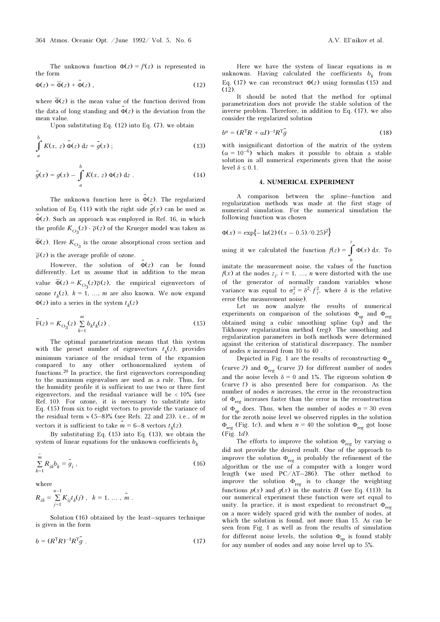The unknown function  $\Phi(z) = f'(z)$  is represented in the form

$$
\Phi(z) = \overline{\Phi}(z) + \tilde{\Phi}(z) \tag{12}
$$

where  $\overline{\Phi}(z)$  is the mean value of the function derived from the data of long standing and  $\tilde{\Phi}(z)$  is the deviation from the mean value.

Upon substituting Eq. (12) into Eq. (7), we obtain

$$
\int_{a}^{b} K(x, z) \tilde{\Phi}(z) dz = \tilde{g}(x) ;
$$
\n(13)

$$
\tilde{g}(x) = g(x) - \int_{a}^{b} K(x, z) \Phi(z) dz .
$$
 (14)

The unknown function here is  $\tilde{\Phi}(z)$ . The regularized solution of Eq. (11) with the right side  $\tilde{g}(x)$  can be used as  $\tilde{\Phi}(z)$ . Such an approach was employed in Ref. 16, in which the profile  $K_{\Omega_0}(z) \cdot \overline{\rho}(z)$  of the Krueger model was taken as the profile  $K_{\text{O}_3}(z) \cdot \overline{\rho}(z)$  of the Krueger model was taken as  $\overline{a}$  $\overline{\Phi}(z)$ . Here  $K_{\Omega}$  is the ozone absorptional cross section and  $\overline{p}(z)$  is the average profile of ozone.

However, the solution of  $\tilde{\Phi}(z)$  can be found differently. Let us assume that in addition to the mean value  $\overline{\Phi}(z) = K_{\Omega_0}(z)\overline{\rho}(z)$ , the empirical eigenvectors of ozone  $t_k(z)$ ,  $k = 1, ..., m$  are also known. We now expand  $\Phi(z)$  into a series in the system  $t_k(z)$ 

$$
\tilde{F}(z) = K_{\text{O}_3}(z) \sum_{k=1}^{m} b_k t_k(z) \tag{15}
$$

The optimal parametrization means that this system with the preset number of eigenvectors  $t_k(z)$ , provides minimum variance of the residual term of the expansion compared to any other orthonormalized system of functions.20 In practice, the first eigenvectors corresponding to the maximum eigenvalues are used as a rule. Thus, for the humidity profile it is sufficient to use two or three first eigenvectors, and the residual variance will be  $\lt$  10% (see Ref. 10). For ozone, it is necessary to substitute into Eq. (15) from six to eight vectors to provide the variance of the residual term  $\approx$  (5–8)% (see Refs. 22 and 23), i.e., of m vectors it is sufficient to take  $\tilde{m} = 6-8$  vectors  $t_k(z)$ .

By substituting Eq. (15) into Eq. (13), we obtain the system of linear equations for the unknown coefficients  $b_k$ 

$$
\sum_{k=1}^{m} R_{ik} b_k = \tilde{g}_i , \qquad (16)
$$

where

$$
R_{ik} = \sum_{j=1}^{n-1} K_{ij} t_k(j) , \ \ k = 1, \ \dots \ , \ \tilde{m} .
$$

Solution (16) obtained by the least–squares technique is given in the form

$$
b = (R^{\mathrm{T}}R)^{-1}R^{\mathrm{T}}\tilde{g} \tag{17}
$$

Here we have the system of linear equations in  $m$ unknowns. Having calculated the coefficients  $b_k$  from Eq. (17) we can reconstruct  $\Phi(z)$  using formulas (15) and  $(12)$ .

It should be noted that the method for optimal parametrization does not provide the stable solution of the inverse problem. Therefore, in addition to Eq. (17), we also consider the regularized solution

$$
b^{\alpha} = (R^{\text{T}}R + \alpha I)^{-1}R^{\text{T}}\tilde{g}
$$
 (18)

with insignificant distortion of the matrix of the system  $(\alpha = 10^{-6})$  which makes it possible to obtain a stable solution in all numerical experiments given that the noise level  $δ ≤ 0.1$ .

#### 4. NUMERICAL EXPERIMENT

A comparison between the spline–function and regularization methods was made at the first stage of numerical simulation. For the numerical simulation the following function was chosen

$$
\Phi(x) = \exp\{-\ln(2)((x - 0.5)/0.25)^2\}
$$

using it we calculated the function  $f(z) = \int \Phi(x) dx$ . To

imitate the measurement noise, the values of the function  $f(x)$  at the nodes  $z_i$ ,  $i = 1, ..., n$  were distorted with the use of the generator of normally random variables whose of the generator of normally random variables whose<br>variance was equal to  $\sigma_i^2 = \delta^2 \cdot f_i^2$ , where  $\delta$  is the relative error (the measurement noise).

Let us now analyze the results of numerical experiments on comparison of the solutions  $\Phi_{\text{sp}}$  and  $\Phi_{\text{reg}}$ <br>obtained using a subjectmential spling (ca) and the obtained using a cubic smoothing spline (sp) and the Tikhonov regularization method (reg). The smoothing and regularization parameters in both methods were determined against the criterion of statistical discrepancy. The number of nodes  $n$  increased from 10 to 40.

Depicted in Fig. 1 are the results of reconstructing  $\Phi_{\rm sp}$ (curve 2) and  $\Phi_{reg}$  (curve 3) for different number of nodes and the noise levels  $\delta = 0$  and 1%. The rigorous solution  $\Phi$ (curve 1) is also presented here for comparison. As the number of nodes  $n$  increases, the error in the reconstruction of  $\Phi_{reg}$  increases faster than the error in the reconstruction of  $\Phi_{\text{sp}}$  does. Thus, when the number of nodes  $n = 30$  even<br>for the zeneth poise level we observed ringles in the solution for the zeroth noise level we observed ripples in the solution  $\Phi_{reg}$  (Fig. 1*c*), and when  $n = 40$  the solution  $\Phi_{reg}$  got loose  $(Fig. 1d)$ .

The efforts to improve the solution  $\Phi_{reg}$  by varying  $\alpha$ <br>act provide the decised result. One of the approach to did not provide the desired result. One of the approach to improve the solution  $\Phi_{reg}$  is probably the refinement of the planeting  $\Phi_{reg}$  is computed with a longer word algorithm or the use of a computer with a longer word length (we used PC/AT–286). The other method to improve the solution  $\Phi_{reg}$  is to change the weighting<br>functions  $g(x)$  and  $g(x)$  in the matrix  $B$  (see Eq. (11)). In functions  $p(x)$  and  $q(x)$  in the matrix B (see Eq. (11)). In our numerical experiment these function were set equal to unity. In practice, it is most expedient to reconstruct  $\Phi_{\text{rec}}$ on a more widely spaced grid with the number of nodes, at which the solution is found, not more than 15. As can be seen from Fig. 1 as well as from the results of simulation for different noise levels, the solution  $\Phi_{\text{sp}}$  is found stably<br>for our gumber of podes and only point level up to  $5\%$ for any number of nodes and any noise level up to 5%.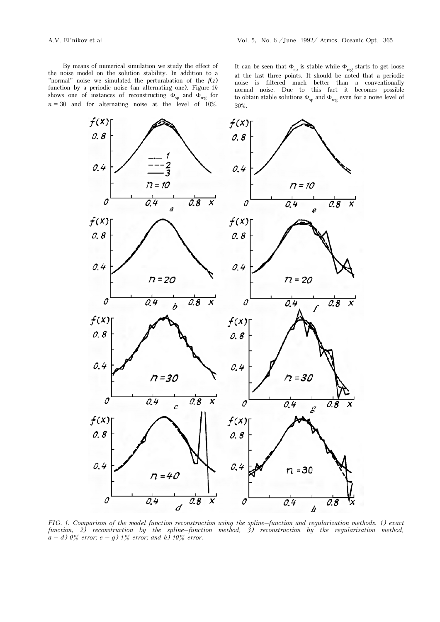By means of numerical simulation we study the effect of the noise model on the solution stability. In addition to a "normal" noise we simulated the perturabation of the  $f(z)$ function by a periodic noise (an alternating one). Figure 1h shows one of instances of reconstructing  $\Phi_{\text{sp}}$  and  $\Phi_{\text{reg}}$  for  $n = 20$  and for alternating points of the layer of  $4.0\%$  $n = 30$  and for alternating noise at the level of 10%.

It can be seen that  $\Phi_{sp}$  is stable while  $\Phi_{reg}$  starts to get loose at the last three points. It should be noted that a periodic noise is filtered much better than a conventionally normal noise. Due to this fact it becomes possible to obtain stable solutions  $\Phi_{\text{sp}}$  and  $\Phi_{\text{reg}}$  even for a noise level of  $20\%$ 30%.



FIG. 1. Comparison of the model function reconstruction using the spline–function and regularization methods. 1) exact function, 2) reconstruction by the spline–function method, 3) reconstruction by the regularization method,  $a-d$ ) 0% error;  $e-g$ ) 1% error; and h) 10% error.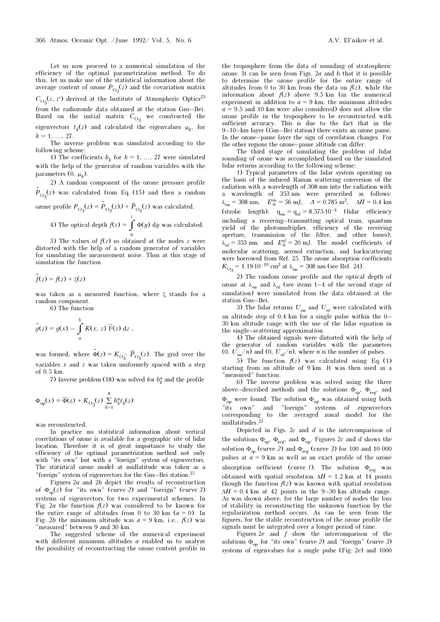Let us now proceed to a numerical simulation of the efficiency of the optimal parametrization method. To do this, let us make use of the statistical information about the average content of ozone  $P_{\text{O}_2}(z)$  and the covariation matrix  $C_{\text{O}_2}(z, z')$  derived at the Institute of Atmospheric Optics<sup>23</sup> from the radiozonde data obtained at the station Gus–Bei. Based on the initial matrix  $C_{\Omega}$  we constructed the eigenvectors  $t_k(z)$  and calculated the eigenvalues  $\mu_k$ , for  $k = 1, \ldots, 27.$ 

The inverse problem was simulated according to the following scheme:

1) The coefficients  $b_k$  for  $k = 1, ..., 27$  were simulated with the help of the generator of random variables with the parameters  $(0, \mu_k)$ .

2) A random component of the ozone pressure profile  $\tilde{P}_{\text{O}_0}(z)$  was calculated from Eq. (15) and then a random

 $\overline{a}$ ozone profile P $\overline{a}$  $(z) = \tilde{P}$  $\overline{a}$  $(z)$ ) +  $\overline{P}$  $\overline{a}$ (z) was calculated.

4) The optical depth  $f(z) = \int^{z}$  $\Phi(y)$  dy was calculated.

5) The values of  $f(z)$  so obtained at the nodes z were distorted with the help of a random generator of variables for simulating the measurement noise. Thus at this stage of simulation the function

$$
\tilde{f}(z) = f(z) + \xi(z)
$$

was taken as a measured function, where ξ stands for a random component.

6) The function

$$
\tilde{g}(z) = g(x) - \int_a^b K(x, z) \overline{F}(z) dz,
$$

was formed, where  $\tilde{\Phi}(z) = K_{\Omega_0}$ .  $\overline{P}_{\Omega_0}(z)$ . The grid over the variables x and z was taken uniformely spaced with a step of 0.5 km.

7) Inverse problem (18) was solved for  $b_k^a$  and the profile

$$
\Phi_{\text{op}}(x) = \overline{\Phi}(z) + K_{\text{O}_3}(z) \sum_{k=1}^8 b_k^{\alpha} t_k(z)
$$

was reconstructed.

In practice no statistical information about vertical correlations of ozone is available for a geographic site of lidar location. Therefore it is of great importance to study the efficiency of the optimal parametrization method not only with "its own" but with a "foreign" system of eigenvectors. The statistical ozone model at midlatitude was taken as a "foreign" system of eigenvectors for the Gus–Bei station.25

Figures 2a and 2b depict the results of reconstruction of  $\Phi_{\rm sp}(z)$  for "its own" (curve 2) and "foreign" (curve 3) systems of eigenvectors for two experimental schemes. In Fig. 2a the function  $f(z)$  was considered to be known for the entire range of altitudes from 0 to 30 km  $(a = 0)$ . In Fig. 2b the minimum altitude was  $a = 9$  km, i.e.,  $f(z)$  was "measured" between 9 and 30 km.

The suggested scheme of the numerical experiment with different minimum altitudes  $a$  enabled us to analyze the possibility of reconstructing the ozone content profile in

the troposphere from the data of sounding of stratospheric ozone. It can be seen from Figs. 2a and b that it is possible to determine the ozone profile for the entire range of altitudes from 0 to 30 km from the data on  $f(z)$ , while the information about  $f(z)$  above 9.5 km (in the numerical experiment in addition to  $a = 9$  km, the minimum altitudes  $a = 9.5$  and 10 km were also considered) does not allow the ozone profile in the troposphere to be reconstructed with sufficient accuracy. This is due to the fact that in the 9–10–km layer (Gus–Bei station) there exists an ozone pause. In the ozone–pause layer the sign of correlation changes. For the other regions the ozone–pause altitude can differ.

The third stage of simulating the problem of lidar sounding of ozone was accomplished based on the simulated lidar returns according to the following scheme:

1) Typical parameters of the lidar system operating on the basis of the induced Raman scattering conversion of the radiation with a wavelength of 308 nm into the radiation with a wavelength of 353 nm were prescribed as follows:  $\lambda_{on} = 308 \text{ nm}, E_0^{on} = 56 \text{ mJ}, A = 0.785 \text{ m}^2, \Delta H = 0.4 \text{ km}$  $\lambda_{on}$  = 308 nm,  $E_{0}^{on}$  = 56 mJ,  $A = 0.785$  m<sup>2</sup>,  $\Delta H = 0.4$  km<br>(strobe length),  $q_{on} = q_{of} = 8.575 \cdot 10^{-4}$  (lidar efficiency including a receiving–transmitting optical train, quantum yield of the photomultiplier, efficiency of the receiving aperture, transmission of the filter, and other losses),  $\lambda_{\text{of}}$  = 353 nm, and  $E_{0}^{\text{of}}$  = 20 mJ. The model coefficients of molecular scattering, aerosol extinction, and backscattering were borrowed from Ref. 25. The ozone absorption coefficients Kere borrowed from Ref. 25. The ozone absorption corresponding  $\lambda_{03} = 1.19 \cdot 10^{-19}$  cm<sup>2</sup> at  $\lambda_{0n} = 308$  nm (see Ref. 24).

2) The random ozone profile and the optical depth of ozone at  $\lambda_{on}$  and  $\lambda_{of}$  (see items 1–4 of the second stage of simulation) were simulated from the data obtained at the simulation) were simulated from the data obtained at the station Gus–Bei.

3) The lidar returns  $U_{\text{on}}$  and  $U_{\text{of}}$  were calculated with<br>titude step of 0.4 km for a single pulse within the 0. an altitude step of 0.4 km for a single pulse within the 0– 30 km altitude range with the use of the lidar equation in the single–scattering approximation.

4) The obtained signals were distorted with the help of the generator of random variables with the parameters  $(0, U_{on}/n)$  and  $(0, U_{of}/n)$ , where *n* is the number of pulses.

5) The function  $f(z)$  was calculated using Eq. (1) starting from an altitude of 9 km. It was then used as a "measured" function.

6) The inverse problem was solved using the three above–described methods and the solutions  $\Phi_{\rm sp}$ ,  $\Phi_{\rm reg}$ , and  $\Phi_{op}$  were found. The solution  $\Phi_{op}$  was obtained using both "its own" and "foreign" systems of eigenvectors corresponding to the averaged zonal model for the midlatitudes.<sup>21</sup>

Depicted in Figs.  $2c$  and  $d$  is the intercomparison of the solutions  $\Phi_{\rm sp}$ ,  $\Phi_{\rm reg}$ , and  $\Phi_{\rm op}$ . Figures 2c and d shows the solution  $\Phi_{\text{sp}}$  (curve 2) and  $\Phi_{\text{reg}}$  (curve 3) for 100 and 10 000 pulses at  $a = 9$  km as well as an exact profile of the ozone absorption oefficient (curve 1). The solution  $\Phi_{reg}$  was obtained with spatial resolution  $\Delta H = 1.2$  km at 14 points though the function  $f(z)$  was known with spatial resolution  $\Delta H = 0.4$  km at 42 points in the 9–30 km altitude range. As was shown above, for the large number of nodes the loss of stability in reconstructing the unknown function by the regularization method occurs. As can be seen from the figures, for the stable reconstruction of the ozone profile the signals must be integrated over a longer period of time.

Figures  $2e$  and  $f$  show the intercomparison of the solutions  $\Phi_{op}$  for "its own" (curve 2) and "foreign" (curve 3)<br>cystems of eigenvalues for a single pulse (Fig. 2a) and 1000 systems of eigenvalues for a single pulse (Fig. 2e) and 1000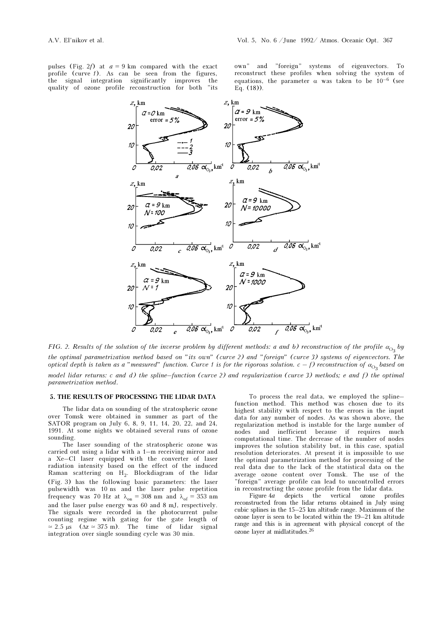pulses (Fig. 2f) at  $a = 9$  km compared with the exact profile (curve 1). As can be seen from the figures, the signal integration significantly improves quality of ozone profile reconstruction for both "its own" and "foreign" systems of eigenvectors. To reconstruct these profiles when solving the system of equations, the parameter  $\alpha$  was taken to be 10<sup>-6</sup> (see Eq. (18)).



FIG. 2. Results of the solution of the inverse problem by different methods: a and b) reconstruction of the profile  $\alpha_{\rm O_3}$  by<br>the optimal narametrization method based on "its exar" (owns 2) and "foreion" (owns 2) out the optimal parametrization method based on "its own" (curve 2) and "foreign" (curve 3) systems of eigenvectors. The optical depth is taken as a "measured" function. Curve 1 is for the rigorous solution.  $c - f$ ) reconstruction of  $\alpha_{O_3}$  based on<br>model lider natures a and d) the enline function (gurus 3) and negularization (gurus 3) mo model lidar returns: c and d) the spline–function (curve 2) and regularization (curve 3) methods; e and f) the optimal parametrization method.

#### 5. THE RESULTS OF PROCESSING THE LIDAR DATA

The lidar data on sounding of the stratospheric ozone over Tomsk were obtained in summer as part of the SATOR program on July 6, 8, 9, 11, 14, 20, 22, and 24, 1991. At some nights we obtained several runs of ozone sounding.

The laser sounding of the stratospheric ozone was carried out using a lidar with a 1–m receiving mirror and a Xe–Cl laser equipped with the converter of laser radiation intensity based on the effect of the induced Raman scattering on  $H_2$ . Blockdiagram of the lidar<br>(Eig 2) has the following bosic parameters: the local (Fig. 3) has the following basic parameters: the laser pulsewidth was 10 ns and the laser pulse repetition frequency was 70 Hz at  $\lambda_{on} = 308$  nm and  $\lambda_{of} = 353$  nm<br>and the laser pulse energy was 60 and 8 mJ, respectively. and the laser pulse energy was 60 and 8 mJ, respectively. The signals were recorded in the photocurrent pulse counting regime with gating for the gate length of  $\approx$  2.5 μs ( $\Delta z \approx 375$  m). The time of lidar signal integration over single sounding cycle was 30 min.

To process the real data, we employed the spline– function method. This method was chosen due to its highest stability with respect to the errors in the input data for any number of nodes. As was shown above, the regularization method is instable for the large number of nodes and inefficient because if requires much computational time. The decrease of the number of nodes improves the solution stability but, in this case, spatial resolution deteriorates. At present it is impossible to use the optimal parametrization method for processing of the real data due to the lack of the statistical data on the average ozone content over Tomsk. The use of the "foreign" average profile can lead to uncontrolled errors in reconstructing the ozone profile from the lidar data.

Figure 4a depicts the vertical ozone profiles reconstructed from the lidar returns obtained in July using cubic splines in the 15–25 km altitude range. Maximum of the ozone layer is seen to be located within the 19–21 km altitude range and this is in agreement with physical concept of the ozone layer at midlatitudes.26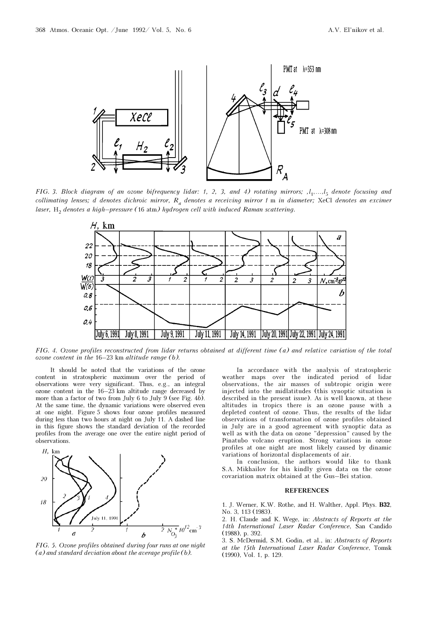

FIG. 3. Block diagram of an ozone bifrequency lidar: 1, 2, 3, and 4) rotating mirrors;  $l_1, \ldots, l_5$  denote focusing and<br>collimating largest d denotes dishmis mirror. By denotes a reseiving mirror 4 m in diametery NoCl de collimating lenses; d denotes dichroic mirror,  $R_a$  denotes a receiving mirror 1 m in diameter; XeCl denotes an excimer laser,  $\text{H}_{2}$  denotes a high–pressure (16 atm) hydrogen cell with induced Raman scattering.



FIG. 4. Ozone profiles reconstructed from lidar returns obtained at different time (a) and relative variation of the total ozone content in the 16–23 km altitude range (b).

It should be noted that the variations of the ozone content in stratospheric maximum over the period of observations were very significant. Thus, e.g., an integral ozone content in the 16–23 km altitude range decreased by more than a factor of two from July 6 to July 9 (see Fig. 4b). At the same time, the dynamic variations were observed even at one night. Figure 5 shows four ozone profiles measured during less than two hours at night on July 11. A dashed line in this figure shows the standard deviation of the recorded profiles from the average one over the entire night period of observations.



FIG. 5. Ozone profiles obtained during four runs at one night (a) and standard deviation about the average profile (b).

In accordance with the analysis of stratospheric weather maps over the indicated period of lidar observations, the air masses of subtropic origin were injected into the midlatitudes (this synoptic situation is described in the present issue). As is well known, at these altitudes in tropics there is an ozone pause with a depleted content of ozone. Thus, the results of the lidar observations of transformation of ozone profiles obtained in July are in a good agreement with synoptic data as well as with the data on ozone "depression" caused by the Pinatubo volcano eruption. Strong variations in ozone profiles at one night are most likely caused by dinamic variations of horizontal displacements of air.

In conclusion, the authors would like to thank S.A. Mikhailov for his kindly given data on the ozone covariation matrix obtained at the Gus–Bei station.

### **REFERENCES**

1. J. Werner, K.W. Rothe, and H. Walther, Appl. Phys. B32, No. 3, 113 (1983).

2. H. Claude and K. Wege, in: Abstracts of Reports at the 14th International Laser Radar Conference, San Candido (1988), p. 392.

3. S. McDermid, S.M. Godin, et al., in: Abstracts of Reports at the 15th International Laser Radar Conference, Tomsk (1990), Vol. 1, p. 129.